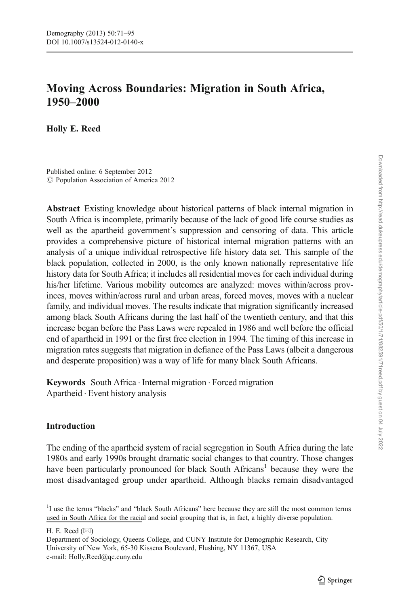# Moving Across Boundaries: Migration in South Africa, 1950–2000

Holly E. Reed

Published online: 6 September 2012 C Population Association of America 2012

Abstract Existing knowledge about historical patterns of black internal migration in South Africa is incomplete, primarily because of the lack of good life course studies as well as the apartheid government's suppression and censoring of data. This article provides a comprehensive picture of historical internal migration patterns with an analysis of a unique individual retrospective life history data set. This sample of the black population, collected in 2000, is the only known nationally representative life history data for South Africa; it includes all residential moves for each individual during his/her lifetime. Various mobility outcomes are analyzed: moves within/across provinces, moves within/across rural and urban areas, forced moves, moves with a nuclear family, and individual moves. The results indicate that migration significantly increased among black South Africans during the last half of the twentieth century, and that this increase began before the Pass Laws were repealed in 1986 and well before the official end of apartheid in 1991 or the first free election in 1994. The timing of this increase in migration rates suggests that migration in defiance of the Pass Laws (albeit a dangerous and desperate proposition) was a way of life for many black South Africans.

Keywords South Africa . Internal migration . Forced migration Apartheid . Event history analysis

## Introduction

The ending of the apartheid system of racial segregation in South Africa during the late 1980s and early 1990s brought dramatic social changes to that country. Those changes have been particularly pronounced for black South Africans<sup>1</sup> because they were the most disadvantaged group under apartheid. Although blacks remain disadvantaged

<sup>&</sup>lt;sup>1</sup>I use the terms "blacks" and "black South Africans" here because they are still the most common terms used in South Africa for the racial and social grouping that is, in fact, a highly diverse population.

H. E. Reed  $(\boxtimes)$ 

Department of Sociology, Queens College, and CUNY Institute for Demographic Research, City University of New York, 65-30 Kissena Boulevard, Flushing, NY 11367, USA e-mail: Holly.Reed@qc.cuny.edu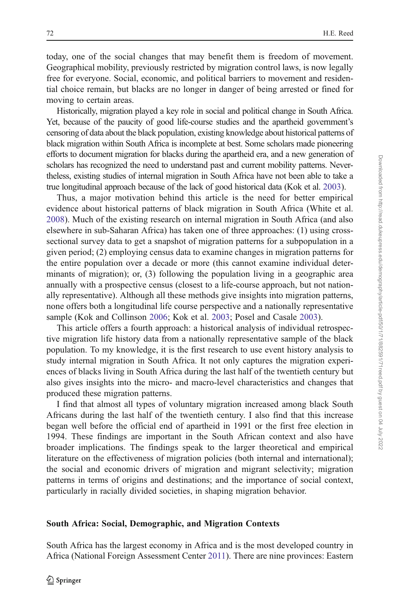today, one of the social changes that may benefit them is freedom of movement. Geographical mobility, previously restricted by migration control laws, is now legally free for everyone. Social, economic, and political barriers to movement and residential choice remain, but blacks are no longer in danger of being arrested or fined for moving to certain areas.

Historically, migration played a key role in social and political change in South Africa. Yet, because of the paucity of good life-course studies and the apartheid government's censoring of data about the black population, existing knowledge about historical patterns of black migration within South Africa is incomplete at best. Some scholars made pioneering efforts to document migration for blacks during the apartheid era, and a new generation of scholars has recognized the need to understand past and current mobility patterns. Nevertheless, existing studies of internal migration in South Africa have not been able to take a true longitudinal approach because of the lack of good historical data (Kok et al. [2003](#page-23-0)).

Thus, a major motivation behind this article is the need for better empirical evidence about historical patterns of black migration in South Africa (White et al. [2008\)](#page-24-0). Much of the existing research on internal migration in South Africa (and also elsewhere in sub-Saharan Africa) has taken one of three approaches: (1) using crosssectional survey data to get a snapshot of migration patterns for a subpopulation in a given period; (2) employing census data to examine changes in migration patterns for the entire population over a decade or more (this cannot examine individual determinants of migration); or, (3) following the population living in a geographic area annually with a prospective census (closest to a life-course approach, but not nationally representative). Although all these methods give insights into migration patterns, none offers both a longitudinal life course perspective and a nationally representative sample (Kok and Collinson [2006](#page-23-0); Kok et al. [2003;](#page-23-0) Posel and Casale [2003](#page-24-0)).

This article offers a fourth approach: a historical analysis of individual retrospective migration life history data from a nationally representative sample of the black population. To my knowledge, it is the first research to use event history analysis to study internal migration in South Africa. It not only captures the migration experiences of blacks living in South Africa during the last half of the twentieth century but also gives insights into the micro- and macro-level characteristics and changes that produced these migration patterns.

I find that almost all types of voluntary migration increased among black South Africans during the last half of the twentieth century. I also find that this increase began well before the official end of apartheid in 1991 or the first free election in 1994. These findings are important in the South African context and also have broader implications. The findings speak to the larger theoretical and empirical literature on the effectiveness of migration policies (both internal and international); the social and economic drivers of migration and migrant selectivity; migration patterns in terms of origins and destinations; and the importance of social context, particularly in racially divided societies, in shaping migration behavior.

#### South Africa: Social, Demographic, and Migration Contexts

South Africa has the largest economy in Africa and is the most developed country in Africa (National Foreign Assessment Center [2011](#page-24-0)). There are nine provinces: Eastern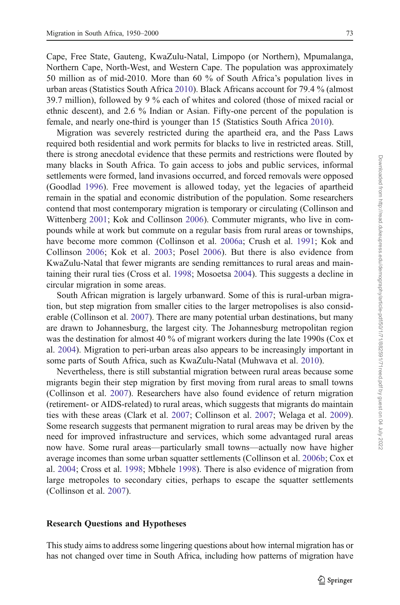Cape, Free State, Gauteng, KwaZulu-Natal, Limpopo (or Northern), Mpumalanga, Northern Cape, North-West, and Western Cape. The population was approximately 50 million as of mid-2010. More than 60 % of South Africa's population lives in urban areas (Statistics South Africa [2010](#page-24-0)). Black Africans account for 79.4 % (almost 39.7 million), followed by 9 % each of whites and colored (those of mixed racial or ethnic descent), and 2.6 % Indian or Asian. Fifty-one percent of the population is female, and nearly one-third is younger than 15 (Statistics South Africa [2010](#page-24-0)).

Migration was severely restricted during the apartheid era, and the Pass Laws required both residential and work permits for blacks to live in restricted areas. Still, there is strong anecdotal evidence that these permits and restrictions were flouted by many blacks in South Africa. To gain access to jobs and public services, informal settlements were formed, land invasions occurred, and forced removals were opposed (Goodlad [1996](#page-23-0)). Free movement is allowed today, yet the legacies of apartheid remain in the spatial and economic distribution of the population. Some researchers contend that most contemporary migration is temporary or circulating (Collinson and Wittenberg [2001](#page-23-0); Kok and Collinson [2006\)](#page-23-0). Commuter migrants, who live in compounds while at work but commute on a regular basis from rural areas or townships, have become more common (Collinson et al. [2006a;](#page-23-0) Crush et al. [1991;](#page-23-0) Kok and Collinson [2006;](#page-23-0) Kok et al. [2003;](#page-23-0) Posel [2006](#page-24-0)). But there is also evidence from KwaZulu-Natal that fewer migrants are sending remittances to rural areas and maintaining their rural ties (Cross et al. [1998;](#page-23-0) Mosoetsa [2004\)](#page-24-0). This suggests a decline in circular migration in some areas.

South African migration is largely urbanward. Some of this is rural-urban migration, but step migration from smaller cities to the larger metropolises is also considerable (Collinson et al. [2007\)](#page-23-0). There are many potential urban destinations, but many are drawn to Johannesburg, the largest city. The Johannesburg metropolitan region was the destination for almost 40 % of migrant workers during the late 1990s (Cox et al. [2004\)](#page-23-0). Migration to peri-urban areas also appears to be increasingly important in some parts of South Africa, such as KwaZulu-Natal (Muhwava et al. [2010\)](#page-24-0).

Nevertheless, there is still substantial migration between rural areas because some migrants begin their step migration by first moving from rural areas to small towns (Collinson et al. [2007](#page-23-0)). Researchers have also found evidence of return migration (retirement- or AIDS-related) to rural areas, which suggests that migrants do maintain ties with these areas (Clark et al. [2007;](#page-23-0) Collinson et al. [2007](#page-23-0); Welaga et al. [2009\)](#page-24-0). Some research suggests that permanent migration to rural areas may be driven by the need for improved infrastructure and services, which some advantaged rural areas now have. Some rural areas—particularly small towns—actually now have higher average incomes than some urban squatter settlements (Collinson et al. [2006b](#page-23-0); Cox et al. [2004;](#page-23-0) Cross et al. [1998](#page-23-0); Mbhele [1998\)](#page-24-0). There is also evidence of migration from large metropoles to secondary cities, perhaps to escape the squatter settlements (Collinson et al. [2007](#page-23-0)).

#### Research Questions and Hypotheses

This study aims to address some lingering questions about how internal migration has or has not changed over time in South Africa, including how patterns of migration have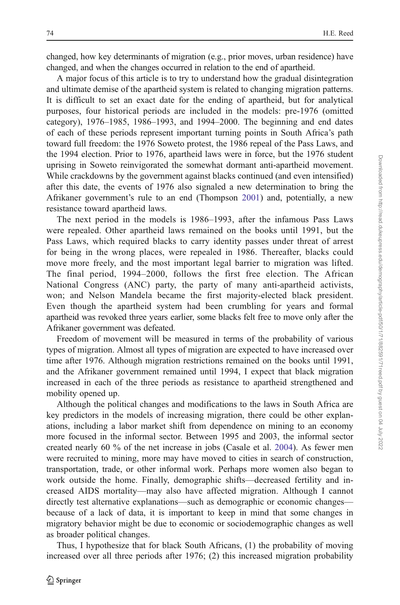changed, how key determinants of migration (e.g., prior moves, urban residence) have changed, and when the changes occurred in relation to the end of apartheid.

A major focus of this article is to try to understand how the gradual disintegration and ultimate demise of the apartheid system is related to changing migration patterns. It is difficult to set an exact date for the ending of apartheid, but for analytical purposes, four historical periods are included in the models: pre-1976 (omitted category), 1976–1985, 1986–1993, and 1994–2000. The beginning and end dates of each of these periods represent important turning points in South Africa's path toward full freedom: the 1976 Soweto protest, the 1986 repeal of the Pass Laws, and the 1994 election. Prior to 1976, apartheid laws were in force, but the 1976 student uprising in Soweto reinvigorated the somewhat dormant anti-apartheid movement. While crackdowns by the government against blacks continued (and even intensified) after this date, the events of 1976 also signaled a new determination to bring the Afrikaner government's rule to an end (Thompson [2001\)](#page-24-0) and, potentially, a new resistance toward apartheid laws.

The next period in the models is 1986–1993, after the infamous Pass Laws were repealed. Other apartheid laws remained on the books until 1991, but the Pass Laws, which required blacks to carry identity passes under threat of arrest for being in the wrong places, were repealed in 1986. Thereafter, blacks could move more freely, and the most important legal barrier to migration was lifted. The final period, 1994–2000, follows the first free election. The African National Congress (ANC) party, the party of many anti-apartheid activists, won; and Nelson Mandela became the first majority-elected black president. Even though the apartheid system had been crumbling for years and formal apartheid was revoked three years earlier, some blacks felt free to move only after the Afrikaner government was defeated.

Freedom of movement will be measured in terms of the probability of various types of migration. Almost all types of migration are expected to have increased over time after 1976. Although migration restrictions remained on the books until 1991, and the Afrikaner government remained until 1994, I expect that black migration increased in each of the three periods as resistance to apartheid strengthened and mobility opened up.

Although the political changes and modifications to the laws in South Africa are key predictors in the models of increasing migration, there could be other explanations, including a labor market shift from dependence on mining to an economy more focused in the informal sector. Between 1995 and 2003, the informal sector created nearly 60 % of the net increase in jobs (Casale et al. [2004\)](#page-23-0). As fewer men were recruited to mining, more may have moved to cities in search of construction, transportation, trade, or other informal work. Perhaps more women also began to work outside the home. Finally, demographic shifts—decreased fertility and increased AIDS mortality—may also have affected migration. Although I cannot directly test alternative explanations—such as demographic or economic changes because of a lack of data, it is important to keep in mind that some changes in migratory behavior might be due to economic or sociodemographic changes as well as broader political changes.

Thus, I hypothesize that for black South Africans, (1) the probability of moving increased over all three periods after 1976; (2) this increased migration probability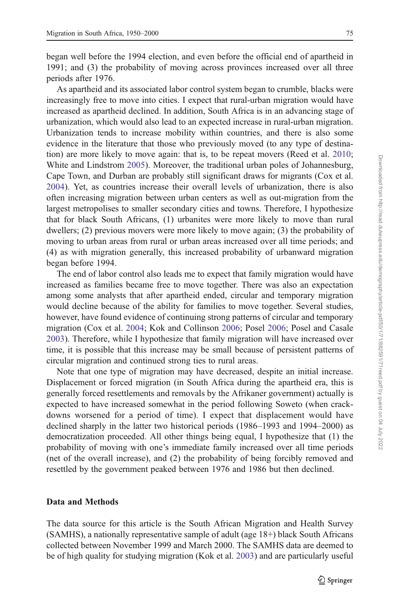began well before the 1994 election, and even before the official end of apartheid in 1991; and (3) the probability of moving across provinces increased over all three periods after 1976.

As apartheid and its associated labor control system began to crumble, blacks were increasingly free to move into cities. I expect that rural-urban migration would have increased as apartheid declined. In addition, South Africa is in an advancing stage of urbanization, which would also lead to an expected increase in rural-urban migration. Urbanization tends to increase mobility within countries, and there is also some evidence in the literature that those who previously moved (to any type of destination) are more likely to move again: that is, to be repeat movers (Reed et al. [2010;](#page-24-0) White and Lindstrom [2005\)](#page-24-0). Moreover, the traditional urban poles of Johannesburg, Cape Town, and Durban are probably still significant draws for migrants (Cox et al. [2004\)](#page-23-0). Yet, as countries increase their overall levels of urbanization, there is also often increasing migration between urban centers as well as out-migration from the largest metropolises to smaller secondary cities and towns. Therefore, I hypothesize that for black South Africans, (1) urbanites were more likely to move than rural dwellers; (2) previous movers were more likely to move again; (3) the probability of moving to urban areas from rural or urban areas increased over all time periods; and (4) as with migration generally, this increased probability of urbanward migration began before 1994.

The end of labor control also leads me to expect that family migration would have increased as families became free to move together. There was also an expectation among some analysts that after apartheid ended, circular and temporary migration would decline because of the ability for families to move together. Several studies, however, have found evidence of continuing strong patterns of circular and temporary migration (Cox et al. [2004](#page-23-0); Kok and Collinson [2006;](#page-23-0) Posel [2006](#page-24-0); Posel and Casale [2003\)](#page-24-0). Therefore, while I hypothesize that family migration will have increased over time, it is possible that this increase may be small because of persistent patterns of circular migration and continued strong ties to rural areas.

Note that one type of migration may have decreased, despite an initial increase. Displacement or forced migration (in South Africa during the apartheid era, this is generally forced resettlements and removals by the Afrikaner government) actually is expected to have increased somewhat in the period following Soweto (when crackdowns worsened for a period of time). I expect that displacement would have declined sharply in the latter two historical periods (1986–1993 and 1994–2000) as democratization proceeded. All other things being equal, I hypothesize that (1) the probability of moving with one's immediate family increased over all time periods (net of the overall increase), and (2) the probability of being forcibly removed and resettled by the government peaked between 1976 and 1986 but then declined.

#### Data and Methods

The data source for this article is the South African Migration and Health Survey (SAMHS), a nationally representative sample of adult (age 18+) black South Africans collected between November 1999 and March 2000. The SAMHS data are deemed to be of high quality for studying migration (Kok et al. [2003](#page-23-0)) and are particularly useful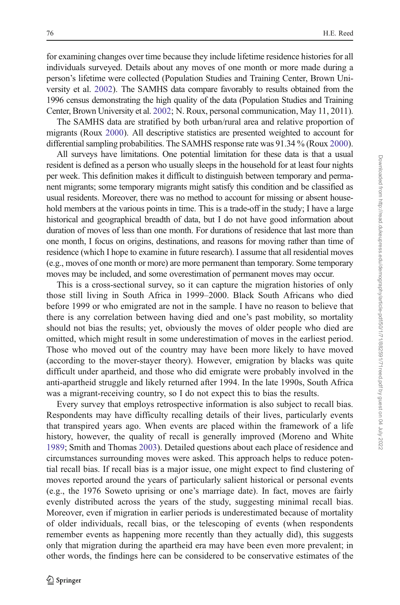for examining changes over time because they include lifetime residence histories for all individuals surveyed. Details about any moves of one month or more made during a person's lifetime were collected (Population Studies and Training Center, Brown University et al. [2002\)](#page-24-0). The SAMHS data compare favorably to results obtained from the 1996 census demonstrating the high quality of the data (Population Studies and Training Center, Brown University et al. [2002](#page-24-0); N. Roux, personal communication, May 11, 2011).

The SAMHS data are stratified by both urban/rural area and relative proportion of migrants (Roux [2000\)](#page-24-0). All descriptive statistics are presented weighted to account for differential sampling probabilities. The SAMHS response rate was 91.34 % (Roux [2000\)](#page-24-0).

All surveys have limitations. One potential limitation for these data is that a usual resident is defined as a person who usually sleeps in the household for at least four nights per week. This definition makes it difficult to distinguish between temporary and permanent migrants; some temporary migrants might satisfy this condition and be classified as usual residents. Moreover, there was no method to account for missing or absent household members at the various points in time. This is a trade-off in the study; I have a large historical and geographical breadth of data, but I do not have good information about duration of moves of less than one month. For durations of residence that last more than one month, I focus on origins, destinations, and reasons for moving rather than time of residence (which I hope to examine in future research). I assume that all residential moves (e.g., moves of one month or more) are more permanent than temporary. Some temporary moves may be included, and some overestimation of permanent moves may occur.

This is a cross-sectional survey, so it can capture the migration histories of only those still living in South Africa in 1999–2000. Black South Africans who died before 1999 or who emigrated are not in the sample. I have no reason to believe that there is any correlation between having died and one's past mobility, so mortality should not bias the results; yet, obviously the moves of older people who died are omitted, which might result in some underestimation of moves in the earliest period. Those who moved out of the country may have been more likely to have moved (according to the mover-stayer theory). However, emigration by blacks was quite difficult under apartheid, and those who did emigrate were probably involved in the anti-apartheid struggle and likely returned after 1994. In the late 1990s, South Africa was a migrant-receiving country, so I do not expect this to bias the results.

Every survey that employs retrospective information is also subject to recall bias. Respondents may have difficulty recalling details of their lives, particularly events that transpired years ago. When events are placed within the framework of a life history, however, the quality of recall is generally improved (Moreno and White [1989;](#page-24-0) Smith and Thomas [2003\)](#page-24-0). Detailed questions about each place of residence and circumstances surrounding moves were asked. This approach helps to reduce potential recall bias. If recall bias is a major issue, one might expect to find clustering of moves reported around the years of particularly salient historical or personal events (e.g., the 1976 Soweto uprising or one's marriage date). In fact, moves are fairly evenly distributed across the years of the study, suggesting minimal recall bias. Moreover, even if migration in earlier periods is underestimated because of mortality of older individuals, recall bias, or the telescoping of events (when respondents remember events as happening more recently than they actually did), this suggests only that migration during the apartheid era may have been even more prevalent; in other words, the findings here can be considered to be conservative estimates of the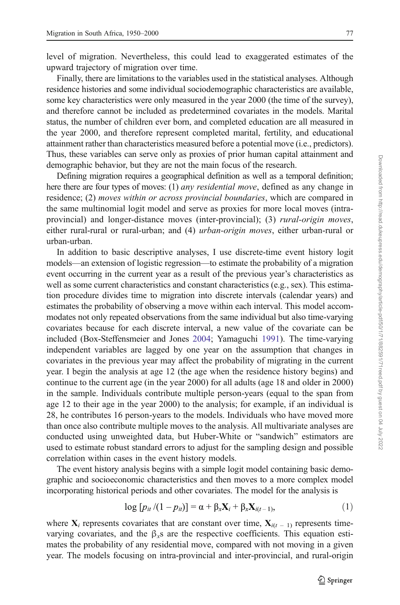level of migration. Nevertheless, this could lead to exaggerated estimates of the upward trajectory of migration over time.

Finally, there are limitations to the variables used in the statistical analyses. Although residence histories and some individual sociodemographic characteristics are available, some key characteristics were only measured in the year 2000 (the time of the survey), and therefore cannot be included as predetermined covariates in the models. Marital status, the number of children ever born, and completed education are all measured in the year 2000, and therefore represent completed marital, fertility, and educational attainment rather than characteristics measured before a potential move (i.e., predictors). Thus, these variables can serve only as proxies of prior human capital attainment and demographic behavior, but they are not the main focus of the research.

Defining migration requires a geographical definition as well as a temporal definition; here there are four types of moves: (1) *any residential move*, defined as any change in residence; (2) moves within or across provincial boundaries, which are compared in the same multinomial logit model and serve as proxies for more local moves (intraprovincial) and longer-distance moves (inter-provincial); (3) *rural-origin moves*, either rural-rural or rural-urban; and (4) *urban-origin moves*, either urban-rural or urban-urban.

In addition to basic descriptive analyses, I use discrete-time event history logit models—an extension of logistic regression—to estimate the probability of a migration event occurring in the current year as a result of the previous year's characteristics as well as some current characteristics and constant characteristics (e.g., sex). This estimation procedure divides time to migration into discrete intervals (calendar years) and estimates the probability of observing a move within each interval. This model accommodates not only repeated observations from the same individual but also time-varying covariates because for each discrete interval, a new value of the covariate can be included (Box-Steffensmeier and Jones [2004;](#page-23-0) Yamaguchi [1991\)](#page-24-0). The time-varying independent variables are lagged by one year on the assumption that changes in covariates in the previous year may affect the probability of migrating in the current year. I begin the analysis at age 12 (the age when the residence history begins) and continue to the current age (in the year 2000) for all adults (age 18 and older in 2000) in the sample. Individuals contribute multiple person-years (equal to the span from age 12 to their age in the year 2000) to the analysis; for example, if an individual is 28, he contributes 16 person-years to the models. Individuals who have moved more than once also contribute multiple moves to the analysis. All multivariate analyses are conducted using unweighted data, but Huber-White or "sandwich" estimators are used to estimate robust standard errors to adjust for the sampling design and possible correlation within cases in the event history models.

The event history analysis begins with a simple logit model containing basic demographic and socioeconomic characteristics and then moves to a more complex model incorporating historical periods and other covariates. The model for the analysis is

$$
\log [p_{it}/(1-p_{it})] = \alpha + \beta_x \mathbf{X}_i + \beta_x \mathbf{X}_{i(t-1)},
$$
\n(1)

where  $X_i$  represents covariates that are constant over time,  $X_{i(t-1)}$  represents timevarying covariates, and the  $\beta_x$ s are the respective coefficients. This equation estimates the probability of any residential move, compared with not moving in a given year. The models focusing on intra-provincial and inter-provincial, and rural-origin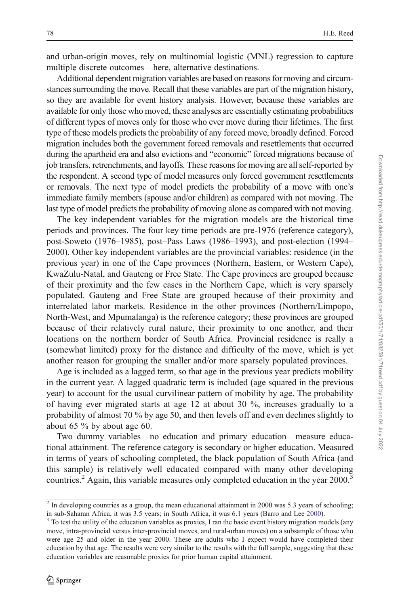and urban-origin moves, rely on multinomial logistic (MNL) regression to capture multiple discrete outcomes—here, alternative destinations.

Additional dependent migration variables are based on reasons for moving and circumstances surrounding the move. Recall that these variables are part of the migration history, so they are available for event history analysis. However, because these variables are available for only those who moved, these analyses are essentially estimating probabilities of different types of moves only for those who ever move during their lifetimes. The first type of these models predicts the probability of any forced move, broadly defined. Forced migration includes both the government forced removals and resettlements that occurred during the apartheid era and also evictions and "economic" forced migrations because of job transfers, retrenchments, and layoffs. These reasons for moving are all self-reported by the respondent. A second type of model measures only forced government resettlements or removals. The next type of model predicts the probability of a move with one's immediate family members (spouse and/or children) as compared with not moving. The last type of model predicts the probability of moving alone as compared with not moving.

The key independent variables for the migration models are the historical time periods and provinces. The four key time periods are pre-1976 (reference category), post-Soweto (1976–1985), post–Pass Laws (1986–1993), and post-election (1994– 2000). Other key independent variables are the provincial variables: residence (in the previous year) in one of the Cape provinces (Northern, Eastern, or Western Cape), KwaZulu-Natal, and Gauteng or Free State. The Cape provinces are grouped because of their proximity and the few cases in the Northern Cape, which is very sparsely populated. Gauteng and Free State are grouped because of their proximity and interrelated labor markets. Residence in the other provinces (Northern/Limpopo, North-West, and Mpumalanga) is the reference category; these provinces are grouped because of their relatively rural nature, their proximity to one another, and their locations on the northern border of South Africa. Provincial residence is really a (somewhat limited) proxy for the distance and difficulty of the move, which is yet another reason for grouping the smaller and/or more sparsely populated provinces.

Age is included as a lagged term, so that age in the previous year predicts mobility in the current year. A lagged quadratic term is included (age squared in the previous year) to account for the usual curvilinear pattern of mobility by age. The probability of having ever migrated starts at age 12 at about 30 %, increases gradually to a probability of almost 70 % by age 50, and then levels off and even declines slightly to about 65 % by about age 60.

Two dummy variables—no education and primary education—measure educational attainment. The reference category is secondary or higher education. Measured in terms of years of schooling completed, the black population of South Africa (and this sample) is relatively well educated compared with many other developing countries.<sup>2</sup> Again, this variable measures only completed education in the year 2000.<sup>3</sup>

 $2$  In developing countries as a group, the mean educational attainment in 2000 was 5.3 years of schooling;

in sub-Saharan Africa, it was 3.5 years; in South Africa, it was 6.1 years (Barro and Lee [2000\)](#page-23-0).  $3$  To test the utility of the education variables as proxies, I ran the basic event history migration models (any move, intra-provincial versus inter-provincial moves, and rural-urban moves) on a subsample of those who were age 25 and older in the year 2000. These are adults who I expect would have completed their education by that age. The results were very similar to the results with the full sample, suggesting that these education variables are reasonable proxies for prior human capital attainment.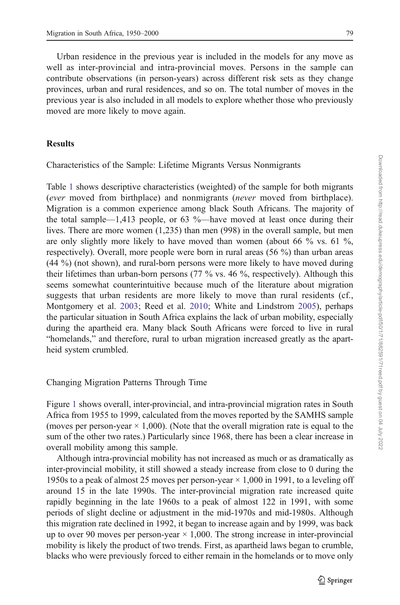Urban residence in the previous year is included in the models for any move as well as inter-provincial and intra-provincial moves. Persons in the sample can contribute observations (in person-years) across different risk sets as they change provinces, urban and rural residences, and so on. The total number of moves in the previous year is also included in all models to explore whether those who previously moved are more likely to move again.

# Results

Characteristics of the Sample: Lifetime Migrants Versus Nonmigrants

Table [1](#page-9-0) shows descriptive characteristics (weighted) of the sample for both migrants (ever moved from birthplace) and nonmigrants (never moved from birthplace). Migration is a common experience among black South Africans. The majority of the total sample—1,413 people, or 63 %—have moved at least once during their lives. There are more women (1,235) than men (998) in the overall sample, but men are only slightly more likely to have moved than women (about 66  $\%$  vs. 61  $\%$ , respectively). Overall, more people were born in rural areas (56 %) than urban areas (44 %) (not shown), and rural-born persons were more likely to have moved during their lifetimes than urban-born persons (77 % vs. 46 %, respectively). Although this seems somewhat counterintuitive because much of the literature about migration suggests that urban residents are more likely to move than rural residents (cf., Montgomery et al. [2003;](#page-24-0) Reed et al. [2010;](#page-24-0) White and Lindstrom [2005\)](#page-24-0), perhaps the particular situation in South Africa explains the lack of urban mobility, especially during the apartheid era. Many black South Africans were forced to live in rural "homelands," and therefore, rural to urban migration increased greatly as the apartheid system crumbled.

## Changing Migration Patterns Through Time

Figure [1](#page-10-0) shows overall, inter-provincial, and intra-provincial migration rates in South Africa from 1955 to 1999, calculated from the moves reported by the SAMHS sample (moves per person-year  $\times$  1,000). (Note that the overall migration rate is equal to the sum of the other two rates.) Particularly since 1968, there has been a clear increase in overall mobility among this sample.

Although intra-provincial mobility has not increased as much or as dramatically as inter-provincial mobility, it still showed a steady increase from close to 0 during the 1950s to a peak of almost 25 moves per person-year  $\times$  1,000 in 1991, to a leveling off around 15 in the late 1990s. The inter-provincial migration rate increased quite rapidly beginning in the late 1960s to a peak of almost 122 in 1991, with some periods of slight decline or adjustment in the mid-1970s and mid-1980s. Although this migration rate declined in 1992, it began to increase again and by 1999, was back up to over 90 moves per person-year  $\times$  1,000. The strong increase in inter-provincial mobility is likely the product of two trends. First, as apartheid laws began to crumble, blacks who were previously forced to either remain in the homelands or to move only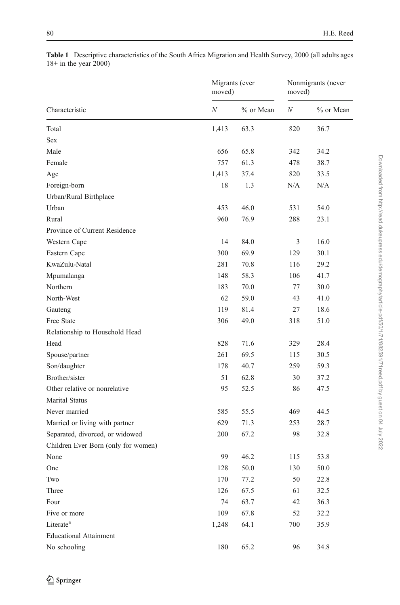|                                     | Migrants (ever<br>moved) |           | Nonmigrants (never<br>moved) |           |
|-------------------------------------|--------------------------|-----------|------------------------------|-----------|
| Characteristic                      | $\boldsymbol{N}$         | % or Mean | $\cal N$                     | % or Mean |
| Total                               | 1,413                    | 63.3      | 820                          | 36.7      |
| Sex                                 |                          |           |                              |           |
| Male                                | 656                      | 65.8      | 342                          | 34.2      |
| Female                              | 757                      | 61.3      | 478                          | 38.7      |
| Age                                 | 1,413                    | 37.4      | 820                          | 33.5      |
| Foreign-born                        | 18                       | 1.3       | N/A                          | N/A       |
| Urban/Rural Birthplace              |                          |           |                              |           |
| Urban                               | 453                      | 46.0      | 531                          | 54.0      |
| Rural                               | 960                      | 76.9      | 288                          | 23.1      |
| Province of Current Residence       |                          |           |                              |           |
| Western Cape                        | 14                       | 84.0      | 3                            | 16.0      |
| Eastern Cape                        | 300                      | 69.9      | 129                          | 30.1      |
| KwaZulu-Natal                       | 281                      | 70.8      | 116                          | 29.2      |
| Mpumalanga                          | 148                      | 58.3      | 106                          | 41.7      |
| Northern                            | 183                      | 70.0      | 77                           | 30.0      |
| North-West                          | 62                       | 59.0      | 43                           | 41.0      |
| Gauteng                             | 119                      | 81.4      | 27                           | 18.6      |
| Free State                          | 306                      | 49.0      | 318                          | 51.0      |
| Relationship to Household Head      |                          |           |                              |           |
| Head                                | 828                      | 71.6      | 329                          | 28.4      |
| Spouse/partner                      | 261                      | 69.5      | 115                          | 30.5      |
| Son/daughter                        | 178                      | 40.7      | 259                          | 59.3      |
| Brother/sister                      | 51                       | 62.8      | 30                           | 37.2      |
| Other relative or nonrelative       | 95                       | 52.5      | 86                           | 47.5      |
| <b>Marital Status</b>               |                          |           |                              |           |
| Never married                       | 585                      | 55.5      | 469                          | 44.5      |
| Married or living with partner      | 629                      | 71.3      | 253                          | 28.7      |
| Separated, divorced, or widowed     | 200                      | 67.2      | 98                           | 32.8      |
| Children Ever Born (only for women) |                          |           |                              |           |
| None                                | 99                       | 46.2      | 115                          | 53.8      |
| One                                 | 128                      | 50.0      | 130                          | 50.0      |
| Two                                 | 170                      | 77.2      | 50                           | 22.8      |
| Three                               | 126                      | 67.5      | 61                           | 32.5      |
| Four                                | 74                       | 63.7      | 42                           | 36.3      |
| Five or more                        | 109                      | 67.8      | 52                           | 32.2      |
| Literate <sup>a</sup>               | 1,248                    | 64.1      | 700                          | 35.9      |
| <b>Educational Attainment</b>       |                          |           |                              |           |
| No schooling                        | 180                      | 65.2      | 96                           | 34.8      |

<span id="page-9-0"></span>Table 1 Descriptive characteristics of the South Africa Migration and Health Survey, 2000 (all adults ages 18+ in the year 2000)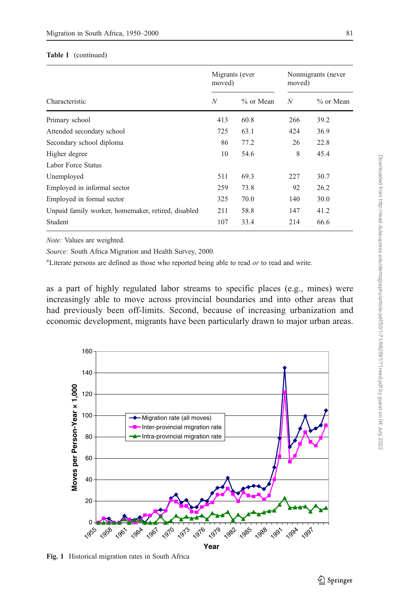#### <span id="page-10-0"></span>Table 1 (continued)

|                                                    | Migrants (ever<br>moved) |             | Nonmigrants (never<br>moved) |             |
|----------------------------------------------------|--------------------------|-------------|------------------------------|-------------|
| Characteristic                                     | N                        | $%$ or Mean | N                            | $%$ or Mean |
| Primary school                                     | 413                      | 60.8        | 266                          | 39.2        |
| Attended secondary school                          | 725                      | 63.1        | 424                          | 36.9        |
| Secondary school diploma                           | 86                       | 77.2        | 26                           | 22.8        |
| Higher degree                                      | 10                       | 54.6        | 8                            | 45.4        |
| Labor Force Status                                 |                          |             |                              |             |
| Unemployed                                         | 511                      | 69.3        | 227                          | 30.7        |
| Employed in informal sector                        | 259                      | 73.8        | 92                           | 26.2        |
| Employed in formal sector                          | 325                      | 70.0        | 140                          | 30.0        |
| Unpaid family worker, homemaker, retired, disabled | 211                      | 58.8        | 147                          | 41.2        |
| Student                                            | 107                      | 33.4        | 214                          | 66.6        |

Note: Values are weighted.

Source: South Africa Migration and Health Survey, 2000.

<sup>a</sup>Literate persons are defined as those who reported being able to read or to read and write.

as a part of highly regulated labor streams to specific places (e.g., mines) were increasingly able to move across provincial boundaries and into other areas that had previously been off-limits. Second, because of increasing urbanization and economic development, migrants have been particularly drawn to major urban areas.



Fig. 1 Historical migration rates in South Africa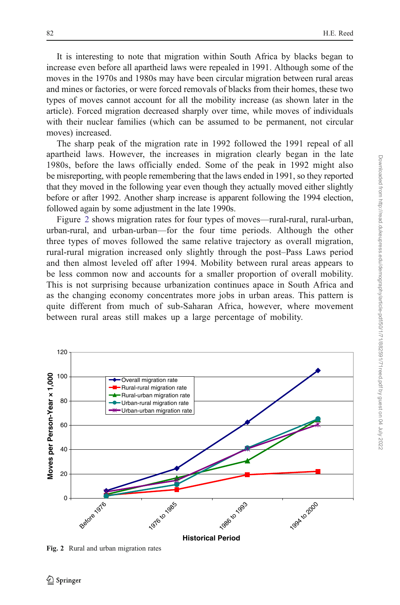It is interesting to note that migration within South Africa by blacks began to increase even before all apartheid laws were repealed in 1991. Although some of the moves in the 1970s and 1980s may have been circular migration between rural areas and mines or factories, or were forced removals of blacks from their homes, these two types of moves cannot account for all the mobility increase (as shown later in the article). Forced migration decreased sharply over time, while moves of individuals with their nuclear families (which can be assumed to be permanent, not circular moves) increased.

The sharp peak of the migration rate in 1992 followed the 1991 repeal of all apartheid laws. However, the increases in migration clearly began in the late 1980s, before the laws officially ended. Some of the peak in 1992 might also be misreporting, with people remembering that the laws ended in 1991, so they reported that they moved in the following year even though they actually moved either slightly before or after 1992. Another sharp increase is apparent following the 1994 election, followed again by some adjustment in the late 1990s.

Figure 2 shows migration rates for four types of moves—rural-rural, rural-urban, urban-rural, and urban-urban—for the four time periods. Although the other three types of moves followed the same relative trajectory as overall migration, rural-rural migration increased only slightly through the post–Pass Laws period and then almost leveled off after 1994. Mobility between rural areas appears to be less common now and accounts for a smaller proportion of overall mobility. This is not surprising because urbanization continues apace in South Africa and as the changing economy concentrates more jobs in urban areas. This pattern is quite different from much of sub-Saharan Africa, however, where movement between rural areas still makes up a large percentage of mobility.



Fig. 2 Rural and urban migration rates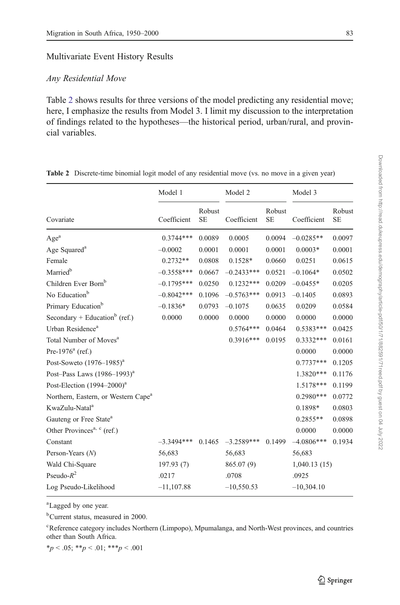## Multivariate Event History Results

# Any Residential Move

Table 2 shows results for three versions of the model predicting any residential move; here, I emphasize the results from Model 3. I limit my discussion to the interpretation of findings related to the hypotheses—the historical period, urban/rural, and provincial variables.

|                                                 | Model 1      |                     | Model 2      |                     | Model 3      |                     |
|-------------------------------------------------|--------------|---------------------|--------------|---------------------|--------------|---------------------|
| Covariate                                       | Coefficient  | Robust<br><b>SE</b> | Coefficient  | Robust<br><b>SE</b> | Coefficient  | Robust<br><b>SE</b> |
| Age <sup>a</sup>                                | $0.3744***$  | 0.0089              | 0.0005       | 0.0094              | $-0.0285**$  | 0.0097              |
| Age Squared <sup>a</sup>                        | $-0.0002$    | 0.0001              | 0.0001       | 0.0001              | $0.0003*$    | 0.0001              |
| Female                                          | $0.2732**$   | 0.0808              | 0.1528*      | 0.0660              | 0.0251       | 0.0615              |
| Married <sup>b</sup>                            | $-0.3558***$ | 0.0667              | $-0.2433***$ | 0.0521              | $-0.1064*$   | 0.0502              |
| Children Ever Born <sup>b</sup>                 | $-0.1795***$ | 0.0250              | $0.1232***$  | 0.0209              | $-0.0455*$   | 0.0205              |
| No Education <sup>b</sup>                       | $-0.8042***$ | 0.1096              | $-0.5763***$ | 0.0913              | $-0.1405$    | 0.0893              |
| Primary Education <sup>b</sup>                  | $-0.1836*$   | 0.0793              | $-0.1075$    | 0.0635              | 0.0209       | 0.0584              |
| Secondary + Education <sup>b</sup> (ref.)       | 0.0000       | 0.0000              | 0.0000       | 0.0000              | 0.0000       | 0.0000              |
| Urban Residence <sup>a</sup>                    |              |                     | $0.5764***$  | 0.0464              | $0.5383***$  | 0.0425              |
| Total Number of Moves <sup>a</sup>              |              |                     | $0.3916***$  | 0.0195              | $0.3332***$  | 0.0161              |
| Pre-1976 $a$ (ref.)                             |              |                     |              |                     | 0.0000       | 0.0000              |
| Post-Soweto $(1976-1985)^{a}$                   |              |                     |              |                     | $0.7737***$  | 0.1205              |
| Post-Pass Laws $(1986-1993)^{a}$                |              |                     |              |                     | 1.3820***    | 0.1176              |
| Post-Election $(1994 - 2000)^{a}$               |              |                     |              |                     | 1.5178***    | 0.1199              |
| Northern, Eastern, or Western Cape <sup>a</sup> |              |                     |              |                     | $0.2980***$  | 0.0772              |
| KwaZulu-Natal <sup>a</sup>                      |              |                     |              |                     | 0.1898*      | 0.0803              |
| Gauteng or Free State <sup>a</sup>              |              |                     |              |                     | $0.2855**$   | 0.0898              |
| Other Provinces <sup>a, c</sup> (ref.)          |              |                     |              |                     | 0.0000       | 0.0000              |
| Constant                                        | $-3.3494***$ | 0.1465              | $-3.2589***$ | 0.1499              | $-4.0806***$ | 0.1934              |
| Person-Years $(N)$                              | 56,683       |                     | 56,683       |                     | 56,683       |                     |
| Wald Chi-Square                                 | 197.93(7)    |                     | 865.07(9)    |                     | 1,040.13(15) |                     |
| Pseudo- $R^2$                                   | .0217        |                     | .0708        |                     | .0925        |                     |
| Log Pseudo-Likelihood                           | $-11,107.88$ |                     | $-10,550.53$ |                     | $-10,304.10$ |                     |

Table 2 Discrete-time binomial logit model of any residential move (vs. no move in a given year)

<sup>a</sup>Lagged by one year.

b Current status, measured in 2000.

<sup>c</sup>Reference category includes Northern (Limpopo), Mpumalanga, and North-West provinces, and countries other than South Africa.

 $*_p$  < .05;  $*_p$  < .01;  $**_p$  < .001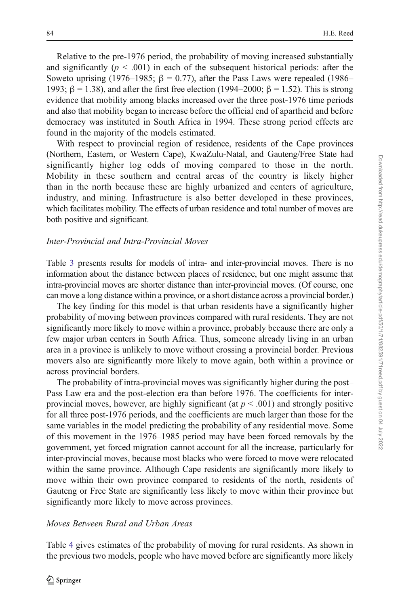Relative to the pre-1976 period, the probability of moving increased substantially and significantly  $(p < .001)$  in each of the subsequent historical periods: after the Soweto uprising (1976–1985; β = 0.77), after the Pass Laws were repealed (1986– 1993;  $β = 1.38$ ), and after the first free election (1994–2000;  $β = 1.52$ ). This is strong evidence that mobility among blacks increased over the three post-1976 time periods and also that mobility began to increase before the official end of apartheid and before democracy was instituted in South Africa in 1994. These strong period effects are found in the majority of the models estimated.

With respect to provincial region of residence, residents of the Cape provinces (Northern, Eastern, or Western Cape), KwaZulu-Natal, and Gauteng/Free State had significantly higher log odds of moving compared to those in the north. Mobility in these southern and central areas of the country is likely higher than in the north because these are highly urbanized and centers of agriculture, industry, and mining. Infrastructure is also better developed in these provinces, which facilitates mobility. The effects of urban residence and total number of moves are both positive and significant.

## Inter-Provincial and Intra-Provincial Moves

Table [3](#page-14-0) presents results for models of intra- and inter-provincial moves. There is no information about the distance between places of residence, but one might assume that intra-provincial moves are shorter distance than inter-provincial moves. (Of course, one can move a long distance within a province, or a short distance across a provincial border.)

The key finding for this model is that urban residents have a significantly higher probability of moving between provinces compared with rural residents. They are not significantly more likely to move within a province, probably because there are only a few major urban centers in South Africa. Thus, someone already living in an urban area in a province is unlikely to move without crossing a provincial border. Previous movers also are significantly more likely to move again, both within a province or across provincial borders.

The probability of intra-provincial moves was significantly higher during the post– Pass Law era and the post-election era than before 1976. The coefficients for interprovincial moves, however, are highly significant (at  $p < .001$ ) and strongly positive for all three post-1976 periods, and the coefficients are much larger than those for the same variables in the model predicting the probability of any residential move. Some of this movement in the 1976–1985 period may have been forced removals by the government, yet forced migration cannot account for all the increase, particularly for inter-provincial moves, because most blacks who were forced to move were relocated within the same province. Although Cape residents are significantly more likely to move within their own province compared to residents of the north, residents of Gauteng or Free State are significantly less likely to move within their province but significantly more likely to move across provinces.

# Moves Between Rural and Urban Areas

Table [4](#page-15-0) gives estimates of the probability of moving for rural residents. As shown in the previous two models, people who have moved before are significantly more likely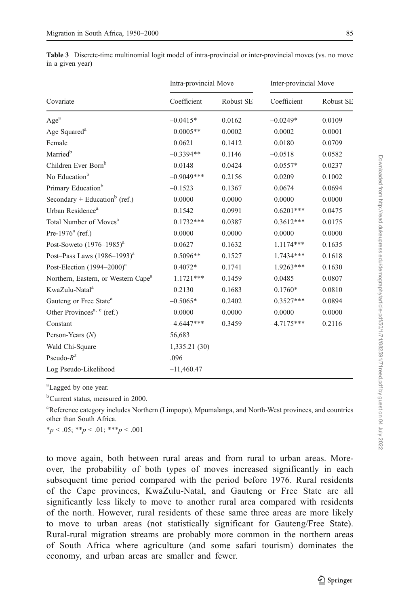|                                                 | Intra-provincial Move |           | Inter-provincial Move |           |  |
|-------------------------------------------------|-----------------------|-----------|-----------------------|-----------|--|
| Covariate                                       | Coefficient           | Robust SE | Coefficient           | Robust SE |  |
| Age <sup>a</sup>                                | $-0.0415*$            | 0.0162    | $-0.0249*$            | 0.0109    |  |
| Age Squared <sup>a</sup>                        | $0.0005**$            | 0.0002    | 0.0002                | 0.0001    |  |
| Female                                          | 0.0621                | 0.1412    | 0.0180                | 0.0709    |  |
| Married <sup>b</sup>                            | $-0.3394**$           | 0.1146    | $-0.0518$             | 0.0582    |  |
| Children Ever Born <sup>b</sup>                 | $-0.0148$             | 0.0424    | $-0.0557*$            | 0.0237    |  |
| No Education <sup>b</sup>                       | $-0.9049***$          | 0.2156    | 0.0209                | 0.1002    |  |
| Primary Education <sup>b</sup>                  | $-0.1523$             | 0.1367    | 0.0674                | 0.0694    |  |
| Secondary + Education <sup>b</sup> (ref.)       | 0.0000                | 0.0000    | 0.0000                | 0.0000    |  |
| Urban Residence <sup>a</sup>                    | 0.1542                | 0.0991    | $0.6201***$           | 0.0475    |  |
| Total Number of Moves <sup>a</sup>              | $0.1732***$           | 0.0387    | $0.3612***$           | 0.0175    |  |
| Pre-1976 $^{a}$ (ref.)                          | 0.0000                | 0.0000    | 0.0000                | 0.0000    |  |
| Post-Soweto $(1976-1985)^{a}$                   | $-0.0627$             | 0.1632    | 1.1174***             | 0.1635    |  |
| Post-Pass Laws (1986-1993) <sup>a</sup>         | $0.5096**$            | 0.1527    | 1.7434***             | 0.1618    |  |
| Post-Election (1994-2000) <sup>a</sup>          | $0.4072*$             | 0.1741    | $1.9263***$           | 0.1630    |  |
| Northern, Eastern, or Western Cape <sup>a</sup> | $1.1721***$           | 0.1459    | 0.0485                | 0.0807    |  |
| KwaZulu-Natal <sup>a</sup>                      | 0.2130                | 0.1683    | $0.1760*$             | 0.0810    |  |
| Gauteng or Free State <sup>a</sup>              | $-0.5065*$            | 0.2402    | $0.3527***$           | 0.0894    |  |
| Other Provinces <sup>a, c</sup> (ref.)          | 0.0000                | 0.0000    | 0.0000                | 0.0000    |  |
| Constant                                        | $-4.6447***$          | 0.3459    | $-4.7175***$          | 0.2116    |  |
| Person-Years $(N)$                              | 56,683                |           |                       |           |  |
| Wald Chi-Square                                 | 1,335.21 (30)         |           |                       |           |  |
| Pseudo- $R^2$                                   | .096                  |           |                       |           |  |
| Log Pseudo-Likelihood                           | $-11,460.47$          |           |                       |           |  |

<span id="page-14-0"></span>Table 3 Discrete-time multinomial logit model of intra-provincial or inter-provincial moves (vs. no move in a given year)

<sup>a</sup>Lagged by one year.

b Current status, measured in 2000.

<sup>c</sup>Reference category includes Northern (Limpopo), Mpumalanga, and North-West provinces, and countries other than South Africa.

 $*_p$  < .05;  $*_p$  < .01;  $**_p$  < .001

to move again, both between rural areas and from rural to urban areas. Moreover, the probability of both types of moves increased significantly in each subsequent time period compared with the period before 1976. Rural residents of the Cape provinces, KwaZulu-Natal, and Gauteng or Free State are all significantly less likely to move to another rural area compared with residents of the north. However, rural residents of these same three areas are more likely to move to urban areas (not statistically significant for Gauteng/Free State). Rural-rural migration streams are probably more common in the northern areas of South Africa where agriculture (and some safari tourism) dominates the economy, and urban areas are smaller and fewer.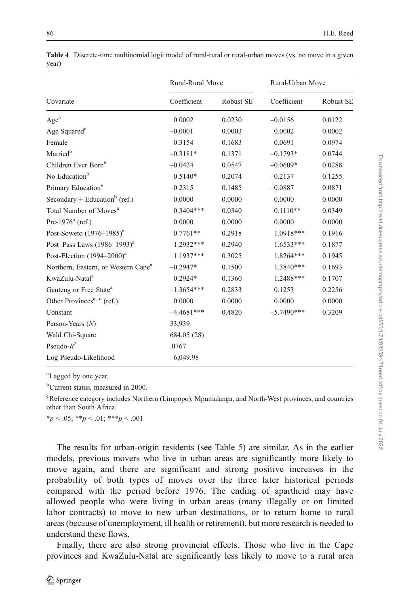|                                                 | Rural-Rural Move |           | Rural-Urban Move |           |  |
|-------------------------------------------------|------------------|-----------|------------------|-----------|--|
| Covariate                                       | Coefficient      | Robust SE | Coefficient      | Robust SE |  |
| $\mathbf{Age}^{\rm a}$                          | 0.0002           | 0.0230    | $-0.0156$        | 0.0122    |  |
| Age Squared <sup>a</sup>                        | $-0.0001$        | 0.0003    | 0.0002           | 0.0002    |  |
| Female                                          | $-0.3154$        | 0.1683    | 0.0691           | 0.0974    |  |
| Married <sup>b</sup>                            | $-0.3181*$       | 0.1371    | $-0.1793*$       | 0.0744    |  |
| Children Ever Born <sup>b</sup>                 | $-0.0424$        | 0.0547    | $-0.0609*$       | 0.0288    |  |
| No Education <sup>b</sup>                       | $-0.5140*$       | 0.2074    | $-0.2137$        | 0.1255    |  |
| Primary Education <sup>b</sup>                  | $-0.2315$        | 0.1485    | $-0.0887$        | 0.0871    |  |
| Secondary + Education <sup>b</sup> (ref.)       | 0.0000           | 0.0000    | 0.0000           | 0.0000    |  |
| Total Number of Moves <sup>a</sup>              | $0.3404***$      | 0.0340    | $0.1110**$       | 0.0349    |  |
| Pre-1976 $^{a}$ (ref.)                          | 0.0000           | 0.0000    | 0.0000           | 0.0000    |  |
| Post-Soweto $(1976-1985)^{a}$                   | $0.7761**$       | 0.2918    | 1.0918***        | 0.1916    |  |
| Post-Pass Laws $(1986-1993)^{a}$                | 1.2932***        | 0.2940    | $1.6533***$      | 0.1877    |  |
| Post-Election $(1994-2000)^{a}$                 | 1.1937***        | 0.3025    | 1.8264***        | 0.1945    |  |
| Northern, Eastern, or Western Cape <sup>a</sup> | $-0.2947*$       | 0.1500    | 1.3840***        | 0.1693    |  |
| KwaZulu-Natal <sup>a</sup>                      | $-0.2924*$       | 0.1360    | 1.2488***        | 0.1707    |  |
| Gauteng or Free State <sup>a</sup>              | $-1.3654***$     | 0.2833    | 0.1253           | 0.2256    |  |
| Other Provinces <sup>a, c</sup> (ref.)          | 0.0000           | 0.0000    | 0.0000           | 0.0000    |  |
| Constant                                        | $-4.4681***$     | 0.4820    | $-5.7490***$     | 0.3209    |  |
| Person-Years $(N)$                              | 33.939           |           |                  |           |  |
| Wald Chi-Square                                 | 684.05 (28)      |           |                  |           |  |
| Pseudo- $R^2$                                   | .0767            |           |                  |           |  |
| Log Pseudo-Likelihood                           | $-6,049.98$      |           |                  |           |  |

<span id="page-15-0"></span>Table 4 Discrete-time multinomial logit model of rural-rural or rural-urban moves (vs. no move in a given year)

a Lagged by one year.

b Current status, measured in 2000.

<sup>c</sup>Reference category includes Northern (Limpopo), Mpumalanga, and North-West provinces, and countries other than South Africa.

 $*_p$  < .05;  $*_p$  < .01;  $**_p$  < .001

The results for urban-origin residents (see Table [5\)](#page-16-0) are similar. As in the earlier models, previous movers who live in urban areas are significantly more likely to move again, and there are significant and strong positive increases in the probability of both types of moves over the three later historical periods compared with the period before 1976. The ending of apartheid may have allowed people who were living in urban areas (many illegally or on limited labor contracts) to move to new urban destinations, or to return home to rural areas (because of unemployment, ill health or retirement), but more research is needed to understand these flows.

Finally, there are also strong provincial effects. Those who live in the Cape provinces and KwaZulu-Natal are significantly less likely to move to a rural area Downloaded from http://read.dukeupress.edu/demography/article-pdf/50/1/71/882591/71reed.pdf by guest on 04 July 2022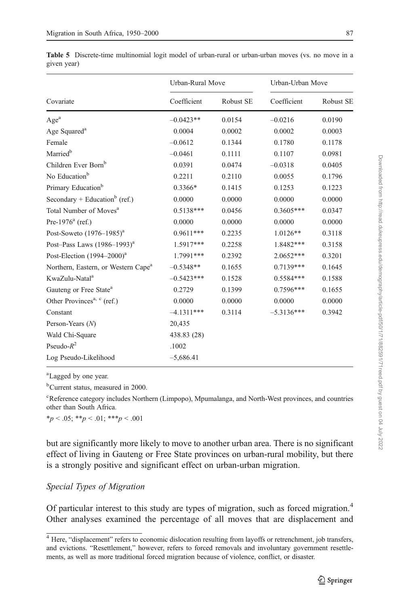|                                                 | Urban-Rural Move |           | Urban-Urban Move |           |  |
|-------------------------------------------------|------------------|-----------|------------------|-----------|--|
| Covariate                                       | Coefficient      | Robust SE | Coefficient      | Robust SE |  |
| Age <sup>a</sup>                                | $-0.0423**$      | 0.0154    | $-0.0216$        | 0.0190    |  |
| Age Squared <sup>a</sup>                        | 0.0004           | 0.0002    | 0.0002           | 0.0003    |  |
| Female                                          | $-0.0612$        | 0.1344    | 0.1780           | 0.1178    |  |
| Married <sup>b</sup>                            | $-0.0461$        | 0.1111    | 0.1107           | 0.0981    |  |
| Children Ever Born <sup>b</sup>                 | 0.0391           | 0.0474    | $-0.0318$        | 0.0405    |  |
| No Education <sup>b</sup>                       | 0.2211           | 0.2110    | 0.0055           | 0.1796    |  |
| Primary Education <sup>b</sup>                  | $0.3366*$        | 0.1415    | 0.1253           | 0.1223    |  |
| Secondary + Education <sup>b</sup> (ref.)       | 0.0000           | 0.0000    | 0.0000           | 0.0000    |  |
| Total Number of Moves <sup>a</sup>              | $0.5138***$      | 0.0456    | $0.3605***$      | 0.0347    |  |
| Pre-1976 $^{a}$ (ref.)                          | 0.0000           | 0.0000    | 0.0000           | 0.0000    |  |
| Post-Soweto $(1976-1985)^{a}$                   | $0.9611***$      | 0.2235    | 1.0126**         | 0.3118    |  |
| Post-Pass Laws $(1986-1993)^{a}$                | 1.5917***        | 0.2258    | 1.8482***        | 0.3158    |  |
| Post-Election $(1994-2000)^{a}$                 | 1.7991***        | 0.2392    | $2.0652***$      | 0.3201    |  |
| Northern, Eastern, or Western Cape <sup>a</sup> | $-0.5348**$      | 0.1655    | $0.7139***$      | 0.1645    |  |
| KwaZulu-Natal <sup>a</sup>                      | $-0.5423***$     | 0.1528    | $0.5584***$      | 0.1588    |  |
| Gauteng or Free State <sup>a</sup>              | 0.2729           | 0.1399    | $0.7596***$      | 0.1655    |  |
| Other Provinces <sup>a, c</sup> (ref.)          | 0.0000           | 0.0000    | 0.0000           | 0.0000    |  |
| Constant                                        | $-4.1311***$     | 0.3114    | $-5.3136***$     | 0.3942    |  |
| Person-Years $(N)$                              | 20,435           |           |                  |           |  |
| Wald Chi-Square                                 | 438.83 (28)      |           |                  |           |  |
| Pseudo- $R^2$                                   | .1002            |           |                  |           |  |
| Log Pseudo-Likelihood                           | $-5,686.41$      |           |                  |           |  |

<span id="page-16-0"></span>Table 5 Discrete-time multinomial logit model of urban-rural or urban-urban moves (vs. no move in a given year)

a Lagged by one year.

b Current status, measured in 2000.

<sup>c</sup>Reference category includes Northern (Limpopo), Mpumalanga, and North-West provinces, and countries other than South Africa.

 $*_p$  < .05;  $*_p$  < .01;  $**_p$  < .001

but are significantly more likely to move to another urban area. There is no significant effect of living in Gauteng or Free State provinces on urban-rural mobility, but there is a strongly positive and significant effect on urban-urban migration.

# Special Types of Migration

Of particular interest to this study are types of migration, such as forced migration.<sup>4</sup> Other analyses examined the percentage of all moves that are displacement and

<sup>&</sup>lt;sup>4</sup> Here, "displacement" refers to economic dislocation resulting from layoffs or retrenchment, job transfers, and evictions. "Resettlement," however, refers to forced removals and involuntary government resettlements, as well as more traditional forced migration because of violence, conflict, or disaster.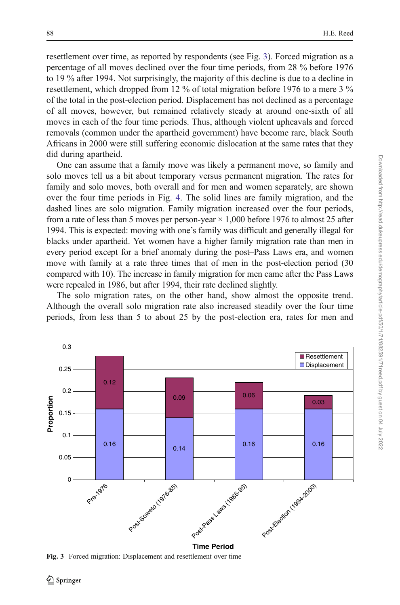resettlement over time, as reported by respondents (see Fig. 3). Forced migration as a percentage of all moves declined over the four time periods, from 28 % before 1976 to 19 % after 1994. Not surprisingly, the majority of this decline is due to a decline in resettlement, which dropped from 12 % of total migration before 1976 to a mere 3 % of the total in the post-election period. Displacement has not declined as a percentage of all moves, however, but remained relatively steady at around one-sixth of all moves in each of the four time periods. Thus, although violent upheavals and forced removals (common under the apartheid government) have become rare, black South Africans in 2000 were still suffering economic dislocation at the same rates that they did during apartheid.

One can assume that a family move was likely a permanent move, so family and solo moves tell us a bit about temporary versus permanent migration. The rates for family and solo moves, both overall and for men and women separately, are shown over the four time periods in Fig. [4](#page-18-0). The solid lines are family migration, and the dashed lines are solo migration. Family migration increased over the four periods, from a rate of less than 5 moves per person-year  $\times$  1,000 before 1976 to almost 25 after 1994. This is expected: moving with one's family was difficult and generally illegal for blacks under apartheid. Yet women have a higher family migration rate than men in every period except for a brief anomaly during the post–Pass Laws era, and women move with family at a rate three times that of men in the post-election period (30 compared with 10). The increase in family migration for men came after the Pass Laws were repealed in 1986, but after 1994, their rate declined slightly.

The solo migration rates, on the other hand, show almost the opposite trend. Although the overall solo migration rate also increased steadily over the four time periods, from less than 5 to about 25 by the post-election era, rates for men and



Fig. 3 Forced migration: Displacement and resettlement over time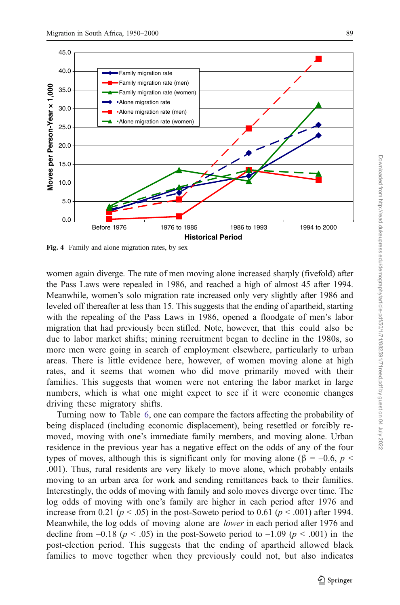<span id="page-18-0"></span>

Fig. 4 Family and alone migration rates, by sex

women again diverge. The rate of men moving alone increased sharply (fivefold) after the Pass Laws were repealed in 1986, and reached a high of almost 45 after 1994. Meanwhile, women's solo migration rate increased only very slightly after 1986 and leveled off thereafter at less than 15. This suggests that the ending of apartheid, starting with the repealing of the Pass Laws in 1986, opened a floodgate of men's labor migration that had previously been stifled. Note, however, that this could also be due to labor market shifts; mining recruitment began to decline in the 1980s, so more men were going in search of employment elsewhere, particularly to urban areas. There is little evidence here, however, of women moving alone at high rates, and it seems that women who did move primarily moved with their families. This suggests that women were not entering the labor market in large numbers, which is what one might expect to see if it were economic changes driving these migratory shifts.

Turning now to Table [6,](#page-19-0) one can compare the factors affecting the probability of being displaced (including economic displacement), being resettled or forcibly removed, moving with one's immediate family members, and moving alone. Urban residence in the previous year has a negative effect on the odds of any of the four types of moves, although this is significant only for moving alone (β = -0.6,  $p$  < .001). Thus, rural residents are very likely to move alone, which probably entails moving to an urban area for work and sending remittances back to their families. Interestingly, the odds of moving with family and solo moves diverge over time. The log odds of moving with one's family are higher in each period after 1976 and increase from 0.21 ( $p < .05$ ) in the post-Soweto period to 0.61 ( $p < .001$ ) after 1994. Meanwhile, the log odds of moving alone are lower in each period after 1976 and decline from  $-0.18$  ( $p < .05$ ) in the post-Soweto period to  $-1.09$  ( $p < .001$ ) in the post-election period. This suggests that the ending of apartheid allowed black families to move together when they previously could not, but also indicates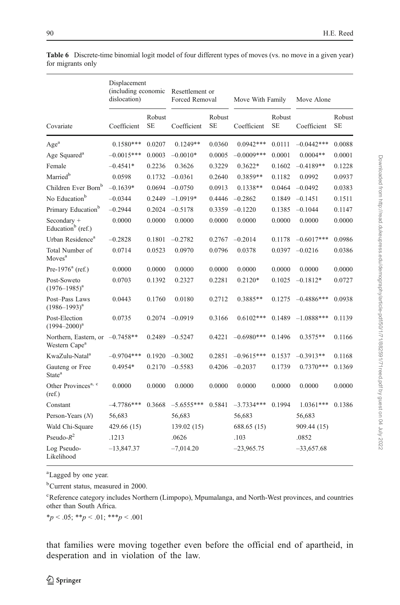|                                                                | Displacement<br>(including economic<br>dislocation) |                     | Resettlement or<br>Forced Removal |                     | Move With Family |                     | Move Alone   |                     |
|----------------------------------------------------------------|-----------------------------------------------------|---------------------|-----------------------------------|---------------------|------------------|---------------------|--------------|---------------------|
| Covariate                                                      | Coefficient                                         | Robust<br><b>SE</b> | Coefficient                       | Robust<br><b>SE</b> | Coefficient      | Robust<br><b>SE</b> | Coefficient  | Robust<br><b>SE</b> |
| $\rm{Age}^a$                                                   | $0.1580***$                                         | 0.0207              | $0.1249**$                        | 0.0360              | $0.0942***$      | 0.0111              | $-0.0442***$ | 0.0088              |
| Age Squared <sup>a</sup>                                       | $-0.0015***$                                        | 0.0003              | $-0.0010*$                        | 0.0005              | $-0.0009***$     | 0.0001              | $0.0004**$   | 0.0001              |
| Female                                                         | $-0.4541*$                                          | 0.2236              | 0.3626                            | 0.3229              | $0.3622*$        | 0.1602              | $-0.4189**$  | 0.1228              |
| Married <sup>b</sup>                                           | 0.0598                                              | 0.1732              | $-0.0361$                         | 0.2640              | $0.3859**$       | 0.1182              | 0.0992       | 0.0937              |
| Children Ever Born <sup>b</sup>                                | $-0.1639*$                                          | 0.0694              | $-0.0750$                         | 0.0913              | $0.1338**$       | 0.0464              | $-0.0492$    | 0.0383              |
| No Education <sup>b</sup>                                      | $-0.0344$                                           | 0.2449              | $-1.0919*$                        | 0.4446              | $-0.2862$        | 0.1849              | $-0.1451$    | 0.1511              |
| Primary Education <sup>b</sup>                                 | $-0.2944$                                           | 0.2024              | $-0.5178$                         | 0.3359              | $-0.1220$        | 0.1385              | $-0.1044$    | 0.1147              |
| Secondary +<br>Education <sup>b</sup> (ref.)                   | 0.0000                                              | 0.0000              | 0.0000                            | 0.0000              | 0.0000           | 0.0000              | 0.0000       | 0.0000              |
| Urban Residence <sup>a</sup>                                   | $-0.2828$                                           | 0.1801              | $-0.2782$                         | 0.2767              | $-0.2014$        | 0.1178              | $-0.6017***$ | 0.0986              |
| Total Number of<br>Moves <sup>a</sup>                          | 0.0714                                              | 0.0523              | 0.0970                            | 0.0796              | 0.0378           | 0.0397              | $-0.0216$    | 0.0386              |
| Pre-1976 $a$ (ref.)                                            | 0.0000                                              | 0.0000              | 0.0000                            | 0.0000              | 0.0000           | 0.0000              | 0.0000       | 0.0000              |
| Post-Soweto<br>$(1976 - 1985)^a$                               | 0.0703                                              | 0.1392              | 0.2327                            | 0.2281              | $0.2120*$        | 0.1025              | $-0.1812*$   | 0.0727              |
| Post-Pass Laws<br>$(1986 - 1993)^{a}$                          | 0.0443                                              | 0.1760              | 0.0180                            | 0.2712              | $0.3885**$       | 0.1275              | $-0.4886***$ | 0.0938              |
| Post-Election<br>$(1994 - 2000)^a$                             | 0.0735                                              | 0.2074              | $-0.0919$                         | 0.3166              | $0.6102***$      | 0.1489              | $-1.0888***$ | 0.1139              |
| Northern, Eastern, or $-0.7458**$<br>Western Cape <sup>a</sup> |                                                     | 0.2489              | $-0.5247$                         | 0.4221              | $-0.6980***$     | 0.1496              | $0.3575**$   | 0.1166              |
| KwaZulu-Natal <sup>a</sup>                                     | $-0.9704***$                                        | 0.1920              | $-0.3002$                         | 0.2851              | $-0.9615***$     | 0.1537              | $-0.3913**$  | 0.1168              |
| Gauteng or Free<br>State <sup>a</sup>                          | $0.4954*$                                           | 0.2170              | $-0.5583$                         | 0.4206              | $-0.2037$        | 0.1739              | $0.7370***$  | 0.1369              |
| Other Provinces <sup>a, c</sup><br>(ref.)                      | 0.0000                                              | 0.0000              | 0.0000                            | 0.0000              | 0.0000           | 0.0000              | 0.0000       | 0.0000              |
| Constant                                                       | $-4.7786***$                                        | 0.3668              | $-5.6555***$                      | 0.5841              | $-3.7334***$     | 0.1994              | $1.0361***$  | 0.1386              |
| Person-Years $(N)$                                             | 56,683                                              |                     | 56,683                            |                     | 56,683           |                     | 56,683       |                     |
| Wald Chi-Square                                                | 429.66 (15)                                         |                     | 139.02 (15)                       |                     | 688.65 (15)      |                     | 909.44 (15)  |                     |
| Pseudo- $R^2$                                                  | .1213                                               |                     | .0626                             |                     | .103             |                     | .0852        |                     |
| Log Pseudo-<br>Likelihood                                      | $-13,847.37$                                        |                     | $-7,014.20$                       |                     | $-23,965.75$     |                     | $-33,657.68$ |                     |

<span id="page-19-0"></span>Table 6 Discrete-time binomial logit model of four different types of moves (vs. no move in a given year) for migrants only

a Lagged by one year.

b Current status, measured in 2000.

<sup>c</sup>Reference category includes Northern (Limpopo), Mpumalanga, and North-West provinces, and countries other than South Africa.

 $*_{p} < .05; **_{p} < .01; **_{p} < .001$ 

that families were moving together even before the official end of apartheid, in desperation and in violation of the law.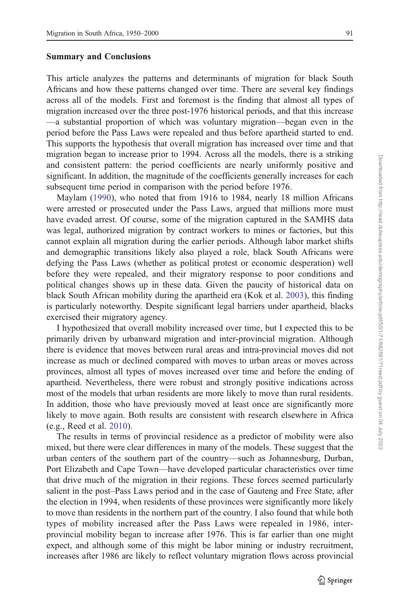#### Summary and Conclusions

This article analyzes the patterns and determinants of migration for black South Africans and how these patterns changed over time. There are several key findings across all of the models. First and foremost is the finding that almost all types of migration increased over the three post-1976 historical periods, and that this increase —a substantial proportion of which was voluntary migration—began even in the period before the Pass Laws were repealed and thus before apartheid started to end. This supports the hypothesis that overall migration has increased over time and that migration began to increase prior to 1994. Across all the models, there is a striking and consistent pattern: the period coefficients are nearly uniformly positive and significant. In addition, the magnitude of the coefficients generally increases for each subsequent time period in comparison with the period before 1976.

Maylam [\(1990](#page-24-0)), who noted that from 1916 to 1984, nearly 18 million Africans were arrested or prosecuted under the Pass Laws, argued that millions more must have evaded arrest. Of course, some of the migration captured in the SAMHS data was legal, authorized migration by contract workers to mines or factories, but this cannot explain all migration during the earlier periods. Although labor market shifts and demographic transitions likely also played a role, black South Africans were defying the Pass Laws (whether as political protest or economic desperation) well before they were repealed, and their migratory response to poor conditions and political changes shows up in these data. Given the paucity of historical data on black South African mobility during the apartheid era (Kok et al. [2003](#page-23-0)), this finding is particularly noteworthy. Despite significant legal barriers under apartheid, blacks exercised their migratory agency.

I hypothesized that overall mobility increased over time, but I expected this to be primarily driven by urbanward migration and inter-provincial migration. Although there is evidence that moves between rural areas and intra-provincial moves did not increase as much or declined compared with moves to urban areas or moves across provinces, almost all types of moves increased over time and before the ending of apartheid. Nevertheless, there were robust and strongly positive indications across most of the models that urban residents are more likely to move than rural residents. In addition, those who have previously moved at least once are significantly more likely to move again. Both results are consistent with research elsewhere in Africa (e.g., Reed et al. [2010](#page-24-0)).

The results in terms of provincial residence as a predictor of mobility were also mixed, but there were clear differences in many of the models. These suggest that the urban centers of the southern part of the country—such as Johannesburg, Durban, Port Elizabeth and Cape Town—have developed particular characteristics over time that drive much of the migration in their regions. These forces seemed particularly salient in the post–Pass Laws period and in the case of Gauteng and Free State, after the election in 1994, when residents of these provinces were significantly more likely to move than residents in the northern part of the country. I also found that while both types of mobility increased after the Pass Laws were repealed in 1986, interprovincial mobility began to increase after 1976. This is far earlier than one might expect, and although some of this might be labor mining or industry recruitment, increases after 1986 are likely to reflect voluntary migration flows across provincial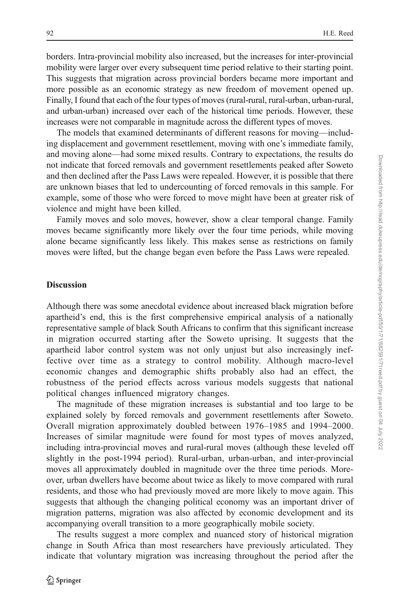borders. Intra-provincial mobility also increased, but the increases for inter-provincial mobility were larger over every subsequent time period relative to their starting point. This suggests that migration across provincial borders became more important and more possible as an economic strategy as new freedom of movement opened up. Finally, I found that each of the four types of moves (rural-rural, rural-urban, urban-rural, and urban-urban) increased over each of the historical time periods. However, these increases were not comparable in magnitude across the different types of moves.

The models that examined determinants of different reasons for moving—including displacement and government resettlement, moving with one's immediate family, and moving alone—had some mixed results. Contrary to expectations, the results do not indicate that forced removals and government resettlements peaked after Soweto and then declined after the Pass Laws were repealed. However, it is possible that there are unknown biases that led to undercounting of forced removals in this sample. For example, some of those who were forced to move might have been at greater risk of violence and might have been killed.

Family moves and solo moves, however, show a clear temporal change. Family moves became significantly more likely over the four time periods, while moving alone became significantly less likely. This makes sense as restrictions on family moves were lifted, but the change began even before the Pass Laws were repealed.

#### **Discussion**

Although there was some anecdotal evidence about increased black migration before apartheid's end, this is the first comprehensive empirical analysis of a nationally representative sample of black South Africans to confirm that this significant increase in migration occurred starting after the Soweto uprising. It suggests that the apartheid labor control system was not only unjust but also increasingly ineffective over time as a strategy to control mobility. Although macro-level economic changes and demographic shifts probably also had an effect, the robustness of the period effects across various models suggests that national political changes influenced migratory changes.

The magnitude of these migration increases is substantial and too large to be explained solely by forced removals and government resettlements after Soweto. Overall migration approximately doubled between 1976–1985 and 1994–2000. Increases of similar magnitude were found for most types of moves analyzed, including intra-provincial moves and rural-rural moves (although these leveled off slightly in the post-1994 period). Rural-urban, urban-urban, and inter-provincial moves all approximately doubled in magnitude over the three time periods. Moreover, urban dwellers have become about twice as likely to move compared with rural residents, and those who had previously moved are more likely to move again. This suggests that although the changing political economy was an important driver of migration patterns, migration was also affected by economic development and its accompanying overall transition to a more geographically mobile society.

The results suggest a more complex and nuanced story of historical migration change in South Africa than most researchers have previously articulated. They indicate that voluntary migration was increasing throughout the period after the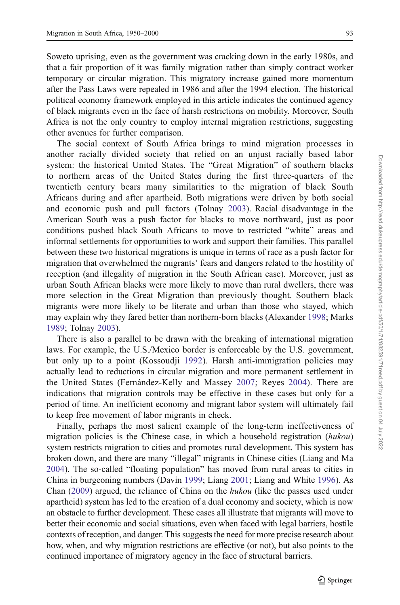Soweto uprising, even as the government was cracking down in the early 1980s, and that a fair proportion of it was family migration rather than simply contract worker temporary or circular migration. This migratory increase gained more momentum after the Pass Laws were repealed in 1986 and after the 1994 election. The historical political economy framework employed in this article indicates the continued agency of black migrants even in the face of harsh restrictions on mobility. Moreover, South Africa is not the only country to employ internal migration restrictions, suggesting other avenues for further comparison.

The social context of South Africa brings to mind migration processes in another racially divided society that relied on an unjust racially based labor system: the historical United States. The "Great Migration" of southern blacks to northern areas of the United States during the first three-quarters of the twentieth century bears many similarities to the migration of black South Africans during and after apartheid. Both migrations were driven by both social and economic push and pull factors (Tolnay [2003\)](#page-24-0). Racial disadvantage in the American South was a push factor for blacks to move northward, just as poor conditions pushed black South Africans to move to restricted "white" areas and informal settlements for opportunities to work and support their families. This parallel between these two historical migrations is unique in terms of race as a push factor for migration that overwhelmed the migrants' fears and dangers related to the hostility of reception (and illegality of migration in the South African case). Moreover, just as urban South African blacks were more likely to move than rural dwellers, there was more selection in the Great Migration than previously thought. Southern black migrants were more likely to be literate and urban than those who stayed, which may explain why they fared better than northern-born blacks (Alexander [1998](#page-23-0); Marks [1989;](#page-23-0) Tolnay [2003](#page-24-0)).

There is also a parallel to be drawn with the breaking of international migration laws. For example, the U.S./Mexico border is enforceable by the U.S. government, but only up to a point (Kossoudji [1992\)](#page-23-0). Harsh anti-immigration policies may actually lead to reductions in circular migration and more permanent settlement in the United States (Fernández-Kelly and Massey [2007](#page-23-0); Reyes [2004](#page-24-0)). There are indications that migration controls may be effective in these cases but only for a period of time. An inefficient economy and migrant labor system will ultimately fail to keep free movement of labor migrants in check.

Finally, perhaps the most salient example of the long-term ineffectiveness of migration policies is the Chinese case, in which a household registration (hukou) system restricts migration to cities and promotes rural development. This system has broken down, and there are many "illegal" migrants in Chinese cities (Liang and Ma [2004\)](#page-23-0). The so-called "floating population" has moved from rural areas to cities in China in burgeoning numbers (Davin [1999;](#page-23-0) Liang [2001;](#page-23-0) Liang and White [1996\)](#page-23-0). As Chan [\(2009](#page-23-0)) argued, the reliance of China on the hukou (like the passes used under apartheid) system has led to the creation of a dual economy and society, which is now an obstacle to further development. These cases all illustrate that migrants will move to better their economic and social situations, even when faced with legal barriers, hostile contexts of reception, and danger. This suggests the need for more precise research about how, when, and why migration restrictions are effective (or not), but also points to the continued importance of migratory agency in the face of structural barriers.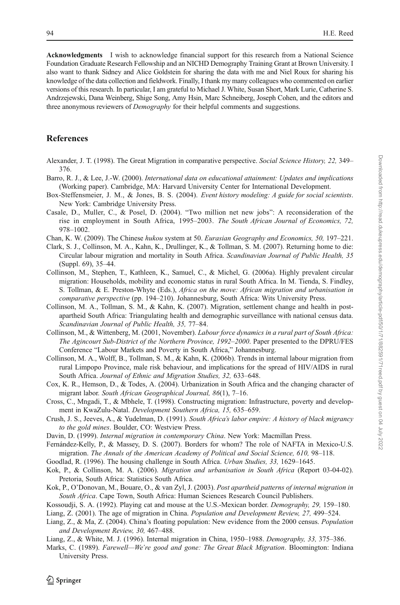<span id="page-23-0"></span>Acknowledgments I wish to acknowledge financial support for this research from a National Science Foundation Graduate Research Fellowship and an NICHD Demography Training Grant at Brown University. I also want to thank Sidney and Alice Goldstein for sharing the data with me and Niel Roux for sharing his knowledge of the data collection and fieldwork. Finally, I thank my many colleagues who commented on earlier versions of this research. In particular, I am grateful to Michael J. White, Susan Short, Mark Lurie, Catherine S. Andrzejewski, Dana Weinberg, Shige Song, Amy Hsin, Marc Schneiberg, Joseph Cohen, and the editors and three anonymous reviewers of *Demography* for their helpful comments and suggestions.

#### References

- Alexander, J. T. (1998). The Great Migration in comparative perspective. Social Science History, 22, 349– 376.
- Barro, R. J., & Lee, J.-W. (2000). International data on educational attainment: Updates and implications (Working paper). Cambridge, MA: Harvard University Center for International Development.
- Box-Steffensmeier, J. M., & Jones, B. S. (2004). Event history modeling: A guide for social scientists. New York: Cambridge University Press.
- Casale, D., Muller, C., & Posel, D. (2004). "Two million net new jobs": A reconsideration of the rise in employment in South Africa, 1995–2003. The South African Journal of Economics, 72, 978–1002.
- Chan, K. W. (2009). The Chinese hukou system at 50. Eurasian Geography and Economics, 50, 197–221.
- Clark, S. J., Collinson, M. A., Kahn, K., Drullinger, K., & Tollman, S. M. (2007). Returning home to die: Circular labour migration and mortality in South Africa. Scandinavian Journal of Public Health, 35 (Suppl. 69), 35–44.
- Collinson, M., Stephen, T., Kathleen, K., Samuel, C., & Michel, G. (2006a). Highly prevalent circular migration: Households, mobility and economic status in rural South Africa. In M. Tienda, S. Findley, S. Tollman, & E. Preston-Whyte (Eds.), Africa on the move: African migration and urbanisation in comparative perspective (pp. 194–210). Johannesburg, South Africa: Wits University Press.
- Collinson, M. A., Tollman, S. M., & Kahn, K. (2007). Migration, settlement change and health in postapartheid South Africa: Triangulating health and demographic surveillance with national census data. Scandinavian Journal of Public Health, 35, 77–84.
- Collinson, M., & Wittenberg, M. (2001, November). Labour force dynamics in a rural part of South Africa: The Agincourt Sub-District of the Northern Province, 1992–2000. Paper presented to the DPRU/FES Conference "Labour Markets and Poverty in South Africa," Johannesburg.
- Collinson, M. A., Wolff, B., Tollman, S. M., & Kahn, K. (2006b). Trends in internal labour migration from rural Limpopo Province, male risk behaviour, and implications for the spread of HIV/AIDS in rural South Africa. Journal of Ethnic and Migration Studies, 32, 633–648.
- Cox, K. R., Hemson, D., & Todes, A. (2004). Urbanization in South Africa and the changing character of migrant labor. South African Geographical Journal, 86(1), 7–16.
- Cross, C., Mngadi, T., & Mbhele, T. (1998). Constructing migration: Infrastructure, poverty and development in KwaZulu-Natal. Development Southern Africa, 15, 635–659.
- Crush, J. S., Jeeves, A., & Yudelman, D. (1991). South Africa's labor empire: A history of black migrancy to the gold mines. Boulder, CO: Westview Press.
- Davin, D. (1999). Internal migration in contemporary China. New York: Macmillan Press.
- Fernández-Kelly, P., & Massey, D. S. (2007). Borders for whom? The role of NAFTA in Mexico-U.S. migration. The Annals of the American Academy of Political and Social Science, 610, 98–118.
- Goodlad, R. (1996). The housing challenge in South Africa. Urban Studies, 33, 1629–1645.
- Kok, P., & Collinson, M. A. (2006). Migration and urbanisation in South Africa (Report 03-04-02). Pretoria, South Africa: Statistics South Africa.
- Kok, P., O'Donovan, M., Bouare, O., & van Zyl, J. (2003). Post apartheid patterns of internal migration in South Africa. Cape Town, South Africa: Human Sciences Research Council Publishers.
- Kossoudji, S. A. (1992). Playing cat and mouse at the U.S.-Mexican border. Demography, 29, 159–180.

Liang, Z. (2001). The age of migration in China. Population and Development Review, 27, 499–524.

- Liang, Z., & Ma, Z. (2004). China's floating population: New evidence from the 2000 census. *Population* and Development Review, 30, 467–488.
- Liang, Z., & White, M. J. (1996). Internal migration in China, 1950–1988. Demography, 33, 375–386.
- Marks, C. (1989). Farewell—We're good and gone: The Great Black Migration. Bloomington: Indiana University Press.